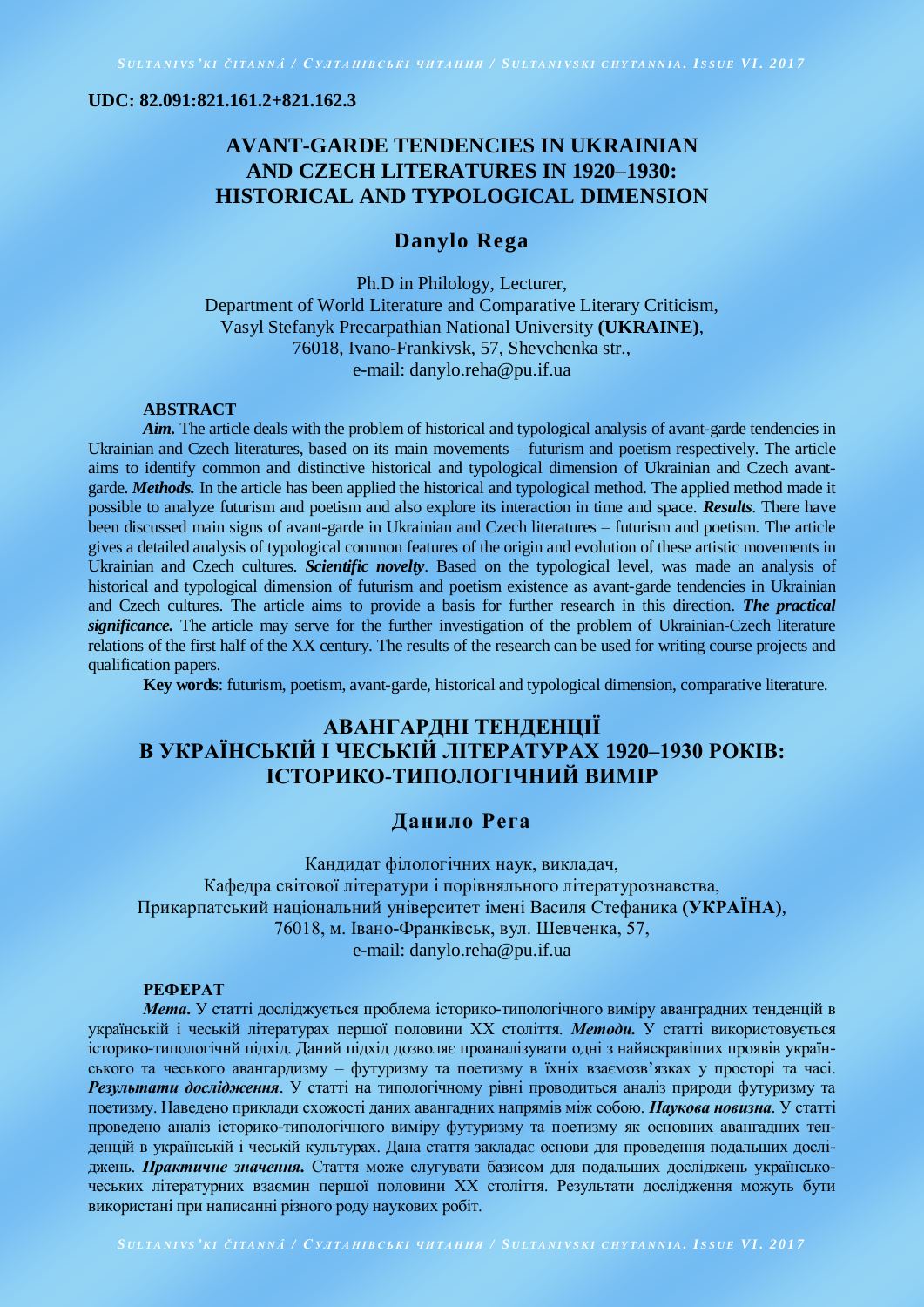**UDC: 82.091:821.161.2+821.162.3**

# **AVANT-GARDE TENDENCIES IN UKRAINIAN AND CZECH LITERATURES IN 1920–1930: HISTORICAL AND TYPOLOGICAL DIMENSION**

## **Danylo Rega**

Ph.D in Philology, Lecturer, Department of World Literature and Comparative Literary Criticism, Vasyl Stefanyk Precarpathian National University **(UKRAINE)**, 76018, Ivano-Frankivsk, 57, Shevchenka str., e-mail: danylo.reha@pu.if.ua

#### **ABSTRACT**

Aim. The article deals with the problem of historical and typological analysis of avant-garde tendencies in Ukrainian and Czech literatures, based on its main movements – futurism and poetism respectively. The article aims to identify common and distinctive historical and typological dimension of Ukrainian and Czech avantgarde. *Methods.* In the article has been applied the historical and typological method. The applied method made it possible to analyze futurism and poetism and also explore its interaction in time and space. *Results*. There have been discussed main signs of avant-garde in Ukrainian and Czech literatures – futurism and poetism. The article gives a detailed analysis of typological common features of the origin and evolution of these artistic movements in Ukrainian and Czech cultures. *Scientific novelty*. Based on the typological level, was made an analysis of historical and typological dimension of futurism and poetism existence as avant-garde tendencies in Ukrainian and Czech cultures. The article aims to provide a basis for further research in this direction. *The practical significance.* The article may serve for the further investigation of the problem of Ukrainian-Czech literature relations of the first half of the XX century. The results of the research can be used for writing course projects and qualification papers.

**Key words**: futurism, poetism, avant-garde, historical and typological dimension, comparative literature.

# **АВАНГАРДНІ ТЕНДЕНЦІЇ В УКРАЇНСЬКІЙ І ЧЕСЬКІЙ ЛІТЕРАТУРАХ 1920–1930 РОКІВ: ІСТОРИКО-ТИПОЛОГІЧНИЙ ВИМІР**

## **Данило Рега**

Кандидат філологічних наук, викладач, Кафедра світової літератури і порівняльного літературознавства, Прикарпатський національний університет імені Василя Стефаника **(УКРАЇНА)**, 76018, м. Івано-Франківськ, вул. Шевченка, 57, e-mail: danylo.reha@pu.if.ua

### **РЕФЕРАТ**

*Мета***.** У статті досліджується проблема історико-типологічного виміру аванградних тенденцій в українській і чеській літературах першої половини ХХ століття. *Методи.* У статті використовується історико-типологічнй підхід. Даний підхід дозволяє проаналізувати одні з найяскравіших проявів українського та чеського авангардизму – футуризму та поетизму в їхніх взаємозв'язках у просторі та часі. *Результати дослідження*. У статті на типологічному рівні проводиться аналіз природи футуризму та поетизму. Наведено приклади схожості даних авангадних напрямів між собою. *Наукова новизна*. У статті проведено аналіз історико-типологічного виміру футуризму та поетизму як основних авангадних тенденцій в українській і чеській культурах. Дана стаття закладає основи для проведення подальших досліджень. *Практичне значення.* Стаття може слугувати базисом для подальших досліджень українськочеських літературних взаємин першої половини ХХ століття. Результати дослідження можуть бути використані при написанні різного роду наукових робіт.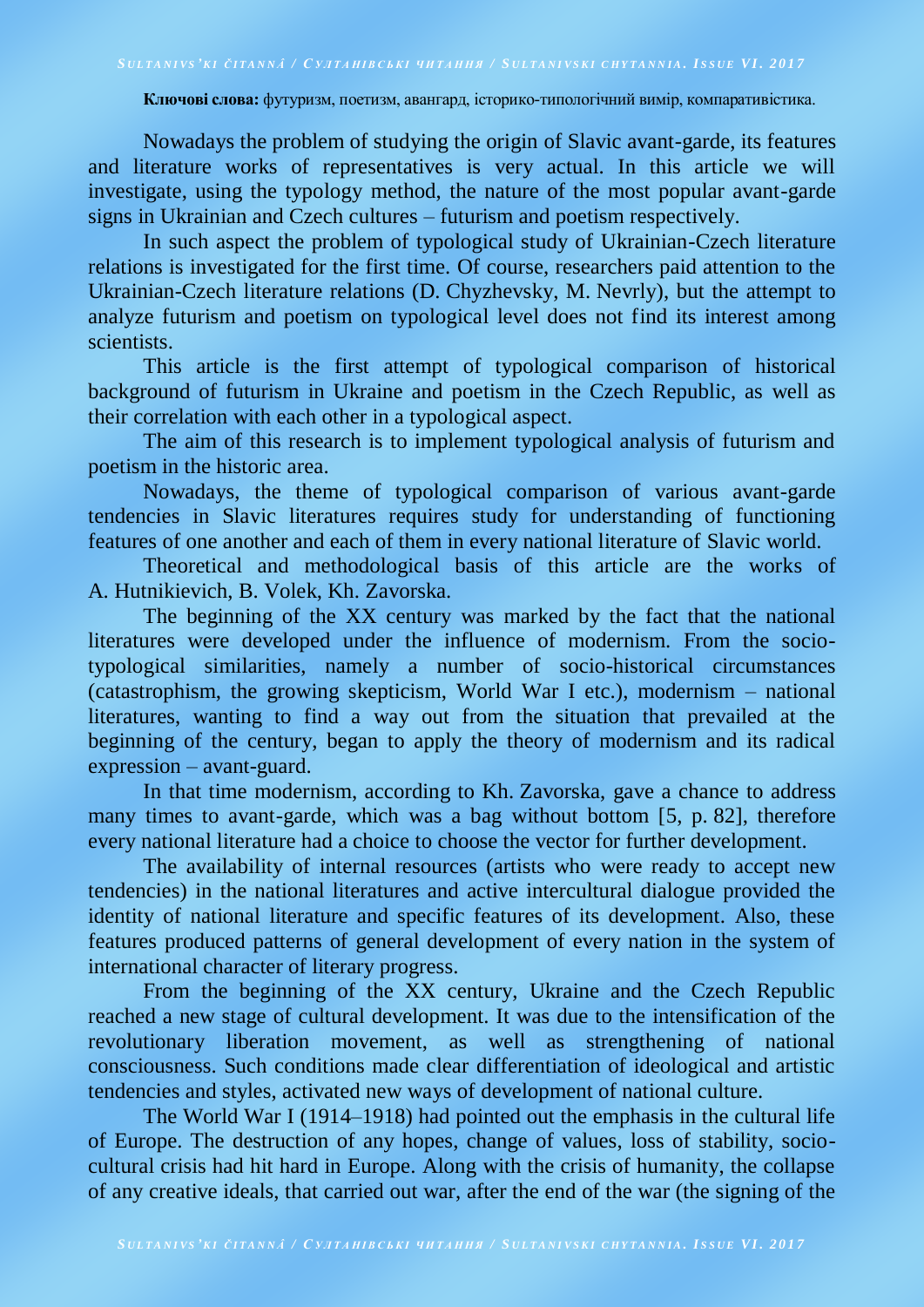**Ключові слова:** футуризм, поетизм, авангард, історико-типологічний вимір, компаративістика.

Nowadays the problem of studying the origin of Slavic avant-garde, its features and literature works of representatives is very actual. In this article we will investigate, using the typology method, the nature of the most popular avant-garde signs in Ukrainian and Czech cultures – futurism and poetism respectively.

In such aspect the problem of typological study of Ukrainian-Czech literature relations is investigated for the first time. Of course, researchers paid attention to the Ukrainian-Czech literature relations (D. Chyzhevsky, M. Nevrly), but the attempt to analyze futurism and poetism on typological level does not find its interest among scientists.

This article is the first attempt of typological comparison of historical background of futurism in Ukraine and poetism in the Czech Republic, as well as their correlation with each other in a typological aspect.

The aim of this research is to implement typological analysis of futurism and poetism in the historic area.

Nowadays, the theme of typological comparison of various avant-garde tendencies in Slavic literatures requires study for understanding of functioning features of one another and each of them in every national literature of Slavic world.

Theoretical and methodological basis of this article are the works of A. Hutnikievich, B. Volek, Kh. Zavorska.

The beginning of the XX century was marked by the fact that the national literatures were developed under the influence of modernism. From the sociotypological similarities, namely a number of socio-historical circumstances (catastrophism, the growing skepticism, World War I etc.), modernism – national literatures, wanting to find a way out from the situation that prevailed at the beginning of the century, began to apply the theory of modernism and its radical expression – avant-guard.

In that time modernism, according to Kh. Zavorska, gave a chance to address many times to avant-garde, which was a bag without bottom [5, p. 82], therefore every national literature had a choice to choose the vector for further development.

The availability of internal resources (artists who were ready to accept new tendencies) in the national literatures and active intercultural dialogue provided the identity of national literature and specific features of its development. Also, these features produced patterns of general development of every nation in the system of international character of literary progress.

From the beginning of the XX century, Ukraine and the Czech Republic reached a new stage of cultural development. It was due to the intensification of the revolutionary liberation movement, as well as strengthening of national consciousness. Such conditions made clear differentiation of ideological and artistic tendencies and styles, activated new ways of development of national culture.

The World War I (1914–1918) had pointed out the emphasis in the cultural life of Europe. The destruction of any hopes, change of values, loss of stability, sociocultural crisis had hit hard in Europe. Along with the crisis of humanity, the collapse of any creative ideals, that carried out war, after the end of the war (the signing of the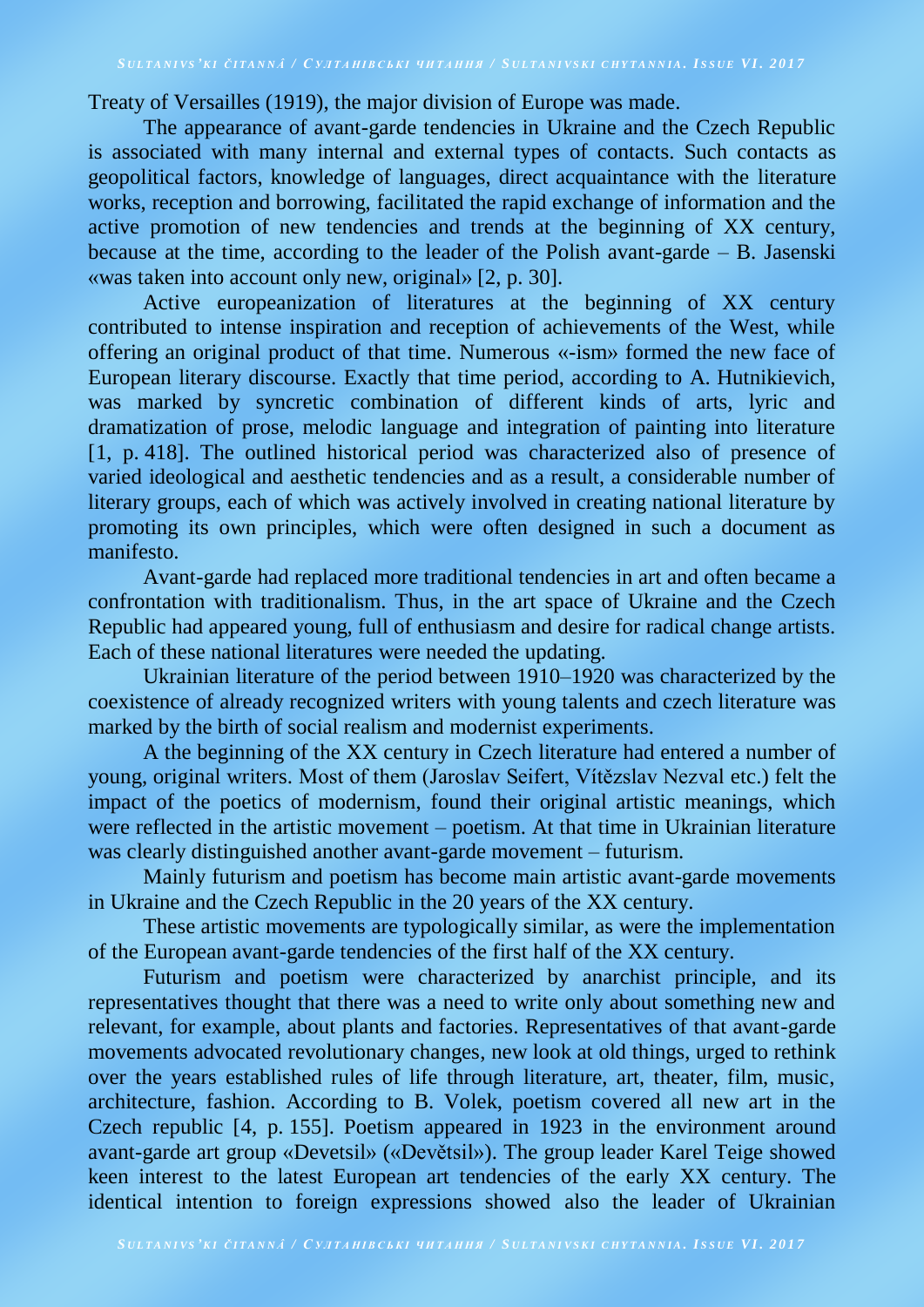## SULTANIVS'KI ČITANNÁ / CYJTAHIBCLKI YHTAHHA / SULTANIVSKI CHYTANNIA. ISSUE VI. 2017

Treaty of Versailles (1919), the major division of Europe was made.

The appearance of avant-garde tendencies in Ukraine and the Czech Republic is associated with many internal and external types of contacts. Such contacts as geopolitical factors, knowledge of languages, direct acquaintance with the literature works, reception and borrowing, facilitated the rapid exchange of information and the active promotion of new tendencies and trends at the beginning of XX century, because at the time, according to the leader of the Polish avant-garde – B. Jasenski «was taken into account only new, original» [2, p. 30].

Active europeanization of literatures at the beginning of XX century contributed to intense inspiration and reception of achievements of the West, while offering an original product of that time. Numerous «-ism» formed the new face of European literary discourse. Exactly that time period, according to A. Hutnikievich, was marked by syncretic combination of different kinds of arts, lyric and dramatization of prose, melodic language and integration of painting into literature [1, p. 418]. The outlined historical period was characterized also of presence of varied ideological and aesthetic tendencies and as a result, a considerable number of literary groups, each of which was actively involved in creating national literature by promoting its own principles, which were often designed in such a document as manifesto.

Avant-garde had replaced more traditional tendencies in art and often became a confrontation with traditionalism. Thus, in the art space of Ukraine and the Czech Republic had appeared young, full of enthusiasm and desire for radical change artists. Each of these national literatures were needed the updating.

Ukrainian literature of the period between 1910–1920 was characterized by the coexistence of already recognized writers with young talents and czech literature was marked by the birth of social realism and modernist experiments.

A the beginning of the XX century in Czech literature had entered a number of young, original writers. Most of them (Jaroslav Seifert, Vítězslav Nezval etc.) felt the impact of the poetics of modernism, found their original artistic meanings, which were reflected in the artistic movement – poetism. At that time in Ukrainian literature was clearly distinguished another avant-garde movement – futurism.

Mainly futurism and poetism has become main artistic avant-garde movements in Ukraine and the Czech Republic in the 20 years of the XX century.

These artistic movements are typologically similar, as were the implementation of the European avant-garde tendencies of the first half of the XX century.

Futurism and poetism were characterized by anarchist principle, and its representatives thought that there was a need to write only about something new and relevant, for example, about plants and factories. Representatives of that avant-garde movements advocated revolutionary changes, new look at old things, urged to rethink over the years established rules of life through literature, art, theater, film, music, architecture, fashion. According to B. Volek, poetism covered all new art in the Czech republic [4, p. 155]. Poetism appeared in 1923 in the environment around avant-garde art group «Devetsil» («Devětsil»). The group leader Karel Teige showed keen interest to the latest European art tendencies of the early XX century. The identical intention to foreign expressions showed also the leader of Ukrainian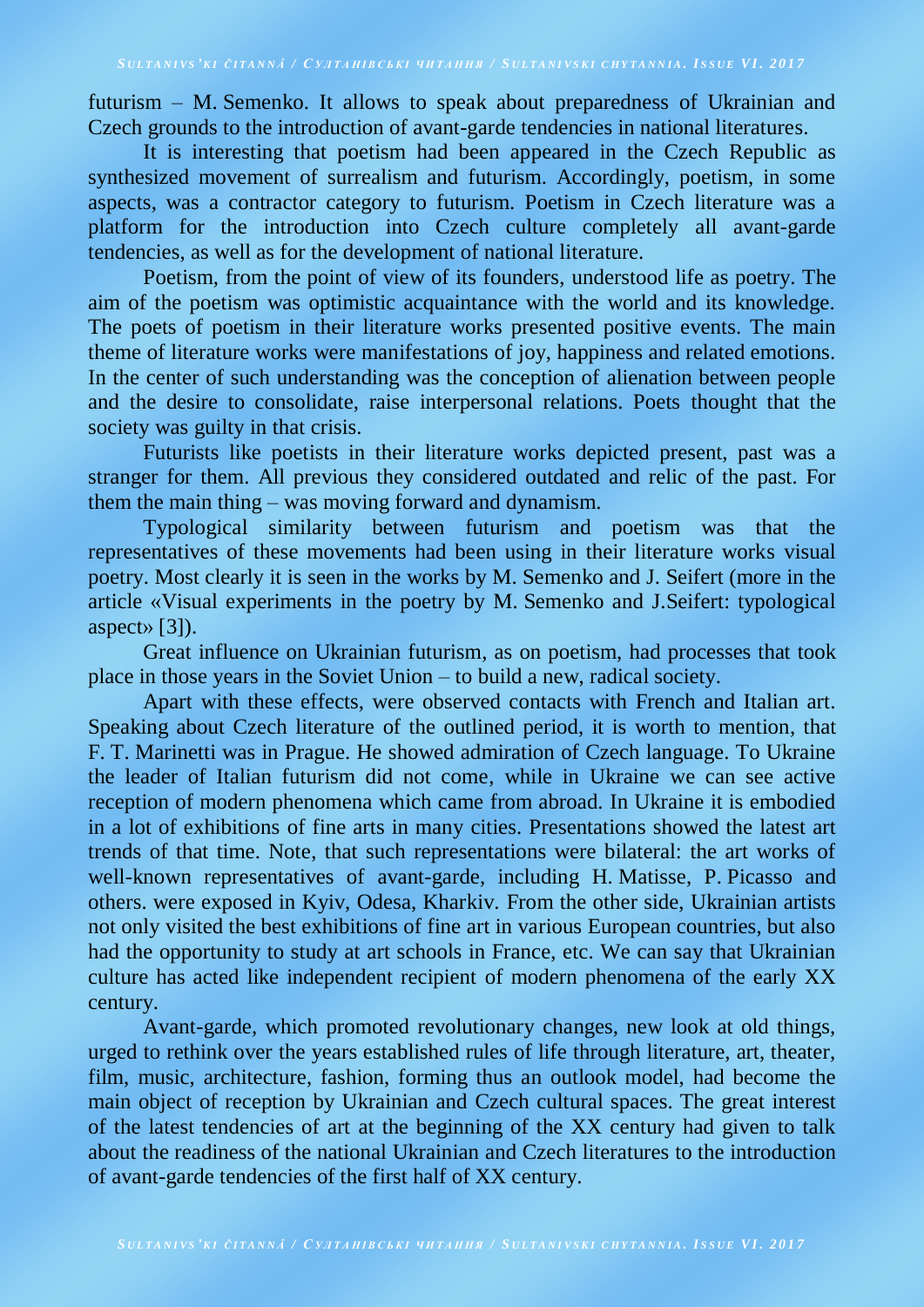futurism – M. Semenko. It allows to speak about preparedness of Ukrainian and Czech grounds to the introduction of avant-garde tendencies in national literatures.

It is interesting that poetism had been appeared in the Czech Republic as synthesized movement of surrealism and futurism. Accordingly, poetism, in some aspects, was a contractor category to futurism. Poetism in Czech literature was a platform for the introduction into Czech culture completely all avant-garde tendencies, as well as for the development of national literature.

Poetism, from the point of view of its founders, understood life as poetry. The aim of the poetism was optimistic acquaintance with the world and its knowledge. The poets of poetism in their literature works presented positive events. The main theme of literature works were manifestations of joy, happiness and related emotions. In the center of such understanding was the conception of alienation between people and the desire to consolidate, raise interpersonal relations. Poets thought that the society was guilty in that crisis.

Futurists like poetists in their literature works depicted present, past was a stranger for them. All previous they considered outdated and relic of the past. For them the main thing – was moving forward and dynamism.

Typological similarity between futurism and poetism was that the representatives of these movements had been using in their literature works visual poetry. Most clearly it is seen in the works by M. Semenko and J. Seifert (more in the article «Visual experiments in the poetry by M. Semenko and J.Seifert: typological aspect» [3]).

Great influence on Ukrainian futurism, as on poetism, had processes that took place in those years in the Soviet Union – to build a new, radical society.

Apart with these effects, were observed contacts with French and Italian art. Speaking about Czech literature of the outlined period, it is worth to mention, that F. T. Marinetti was in Prague. He showed admiration of Czech language. To Ukraine the leader of Italian futurism did not come, while in Ukraine we can see active reception of modern phenomena which came from abroad. In Ukraine it is embodied in a lot of exhibitions of fine arts in many cities. Presentations showed the latest art trends of that time. Note, that such representations were bilateral: the art works of well-known representatives of avant-garde, including H. Matisse, P. Picasso and others. were exposed in Kyiv, Odesa, Kharkiv. From the other side, Ukrainian artists not only visited the best exhibitions of fine art in various European countries, but also had the opportunity to study at art schools in France, etc. We can say that Ukrainian culture has acted like independent recipient of modern phenomena of the early XX century.

Avant-garde, which promoted revolutionary changes, new look at old things, urged to rethink over the years established rules of life through literature, art, theater, film, music, architecture, fashion, forming thus an outlook model, had become the main object of reception by Ukrainian and Czech cultural spaces. The great interest of the latest tendencies of art at the beginning of the XX century had given to talk about the readiness of the national Ukrainian and Czech literatures to the introduction of avant-garde tendencies of the first half of XX century.